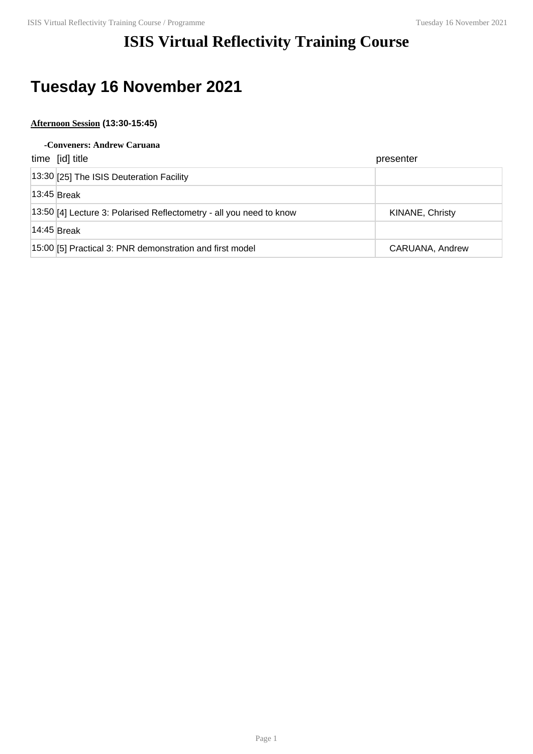## **ISIS Virtual Reflectivity Training Course**

## **Tuesday 16 November 2021**

## **Afternoon Session (13:30-15:45)**

#### **-Conveners: Andrew Caruana**

| time [id] title                                                      | presenter       |
|----------------------------------------------------------------------|-----------------|
| 13:30 [25] The ISIS Deuteration Facility                             |                 |
| $13:45$ Break                                                        |                 |
| [13:50][4] Lecture 3: Polarised Reflectometry - all you need to know | KINANE, Christy |
| $14:45$ Break                                                        |                 |
| 15:00 [5] Practical 3: PNR demonstration and first model             | CARUANA, Andrew |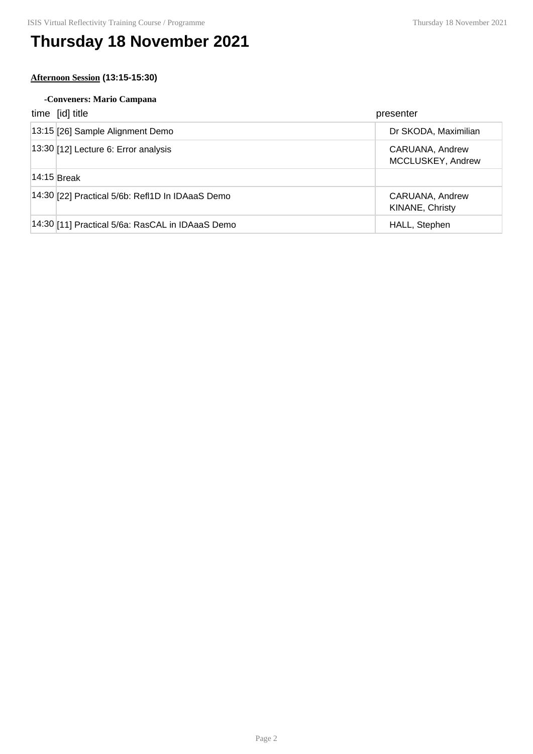# **Thursday 18 November 2021**

### **Afternoon Session (13:15-15:30)**

### **-Conveners: Mario Campana**

|                 | time [id] title                                  | presenter                            |
|-----------------|--------------------------------------------------|--------------------------------------|
|                 | 13:15 [26] Sample Alignment Demo                 | Dr SKODA, Maximilian                 |
|                 | $ 13:30 $ [12] Lecture 6: Error analysis         | CARUANA, Andrew<br>MCCLUSKEY, Andrew |
| $ 14:15 $ Break |                                                  |                                      |
|                 | 14:30 [22] Practical 5/6b: RefI1D In IDAaaS Demo | CARUANA, Andrew<br>KINANE, Christy   |
|                 | 14:30 [11] Practical 5/6a: RasCAL in IDAaaS Demo | HALL, Stephen                        |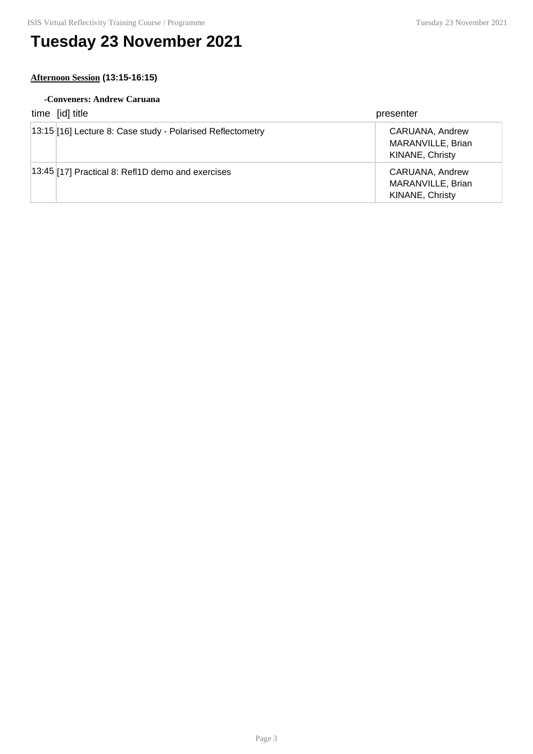# **Tuesday 23 November 2021**

### **Afternoon Session (13:15-16:15)**

#### **-Conveners: Andrew Caruana**

| time [id] title                                            | presenter                                               |
|------------------------------------------------------------|---------------------------------------------------------|
| 13:15 [16] Lecture 8: Case study - Polarised Reflectometry | CARUANA, Andrew<br>MARANVILLE, Brian<br>KINANE, Christy |
| $ 13.45 $ [17] Practical 8: Refl1D demo and exercises      | CARUANA, Andrew<br>MARANVILLE, Brian<br>KINANE, Christy |